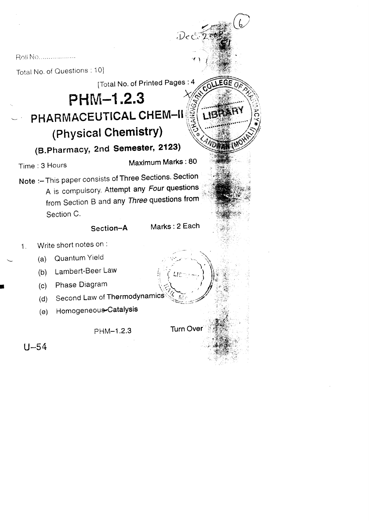Roll No...................

Total No. of Questions : 10] [Total No. of Printed Pages: 4 PHM-1.2.3 PHARMACEUTICAL CHEM-II  $\sqrt{4}$ (Physical Chemistry) (B.Pharmacy, 2nd Semester, 2123) Maximum Marks: 80 Time: 3 Hours Note :- This paper consists of Three Sections. Section A is compulsory. Attempt any Four questions from Section B and any Three questions from Section C. Marks: 2 Each Section-A Write short notes on : Quantum Yield  $(a)$ Lambert-Beer Law  $(b)$ Phase Diagram  $(c)$ Second Law of Thermodynamics  $(d)$ Homogeneous-Catalysis  $(e)$ 

 $\mathcal{D}$ e $\mathbb{C}$ 

**Turn Over** 

PHM-1.2.3

 $U - 54$ 

 $\mathbf{1}$ .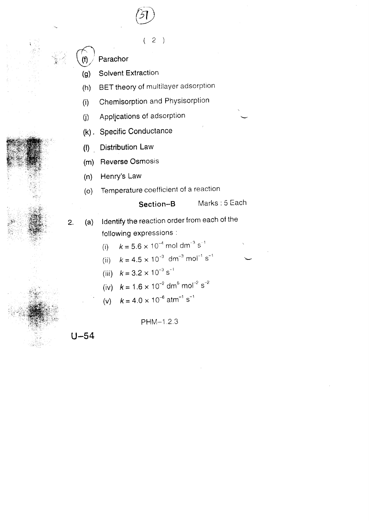$2)$  $\left($ 

Parachor

(f)

**Solvent Extraction**  $(g)$ 

- BET theory of multilayer adsorption  $(h)$
- Chemisorption and Physisorption  $(i)$
- Applications of adsorption  $(i)$
- (k). Specific Conductance
- **Distribution Law**  $(1)$

Reverse Osmosis  $(m)$ 

Henry's Law  $(n)$ 

Temperature coefficient of a reaction  $(o)$ 

## Marks: 5 Each Section-B

- Identify the reaction order from each of the  $2.$  $(a)$ following expressions :
	- $k = 5.6 \times 10^{-4}$  mol dm<sup>-3</sup> s<sup>-1</sup>  $(i)$
	- $k = 4.5 \times 10^{-3}$  dm<sup>-3</sup> mol<sup>-1</sup> s<sup>-1</sup>  $(ii)$
	- (iii)  $k = 3.2 \times 10^{-3} \text{ s}^{-1}$
	- (iv)  $k = 1.6 \times 10^{-2}$  dm<sup>6</sup> mol<sup>-2</sup> s<sup>-2</sup>
	- $k = 4.0 \times 10^{-6}$  atm<sup>-1</sup> s<sup>-1</sup>  $(v)$

PHM-1.2.3

 $U - 54$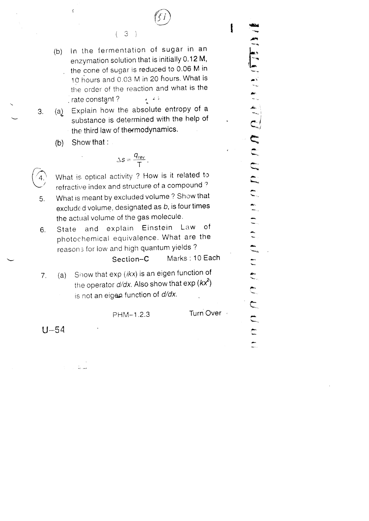

 $\mathbf{I}$ 

(b) In the {ermentation of sugar in an enzymation solution that is initially 0.12 M, . the cone of sugar is reduced to  $0.06$  M in 10 hours and 0.03 M in 20 hours. What is the order of the reaction and what is the . rate constant?  $\cdot$   $\cdot$   $\cdot$ 

 $(3)$ 

(a) Explain how the absolute entropy of a 3. substance is determined with the help of the third law of thermodynamics.

(b) Show that :

 $\ddot{\xi}$ 

$$
\Delta s = \frac{q_{rev}}{T}.
$$

 $\left( 4.$ <sup>1</sup> What is optical activity ? How is it related to refractive index and structure of a compound')

- $5<sub>1</sub>$ What is meant by excluded volume? Show that  $exclude d volume, designed to be used as  $b$ , is four times$ the actual volume of the gas molecule.
- $6.$ State and explain Einstein Law of photochemical equivalence. What are the reasons for low and high quantum yields?

Section-C Marks : 10 Each

7. (a) Show that  $exp (ikx)$  is an eigen function of the operator  $d/dx$ . Also show that  $exp(kx^2)$ is not an eigen function of  $d/dx$ .

PHM-1.2.3 Turn Over

 $U - 54$